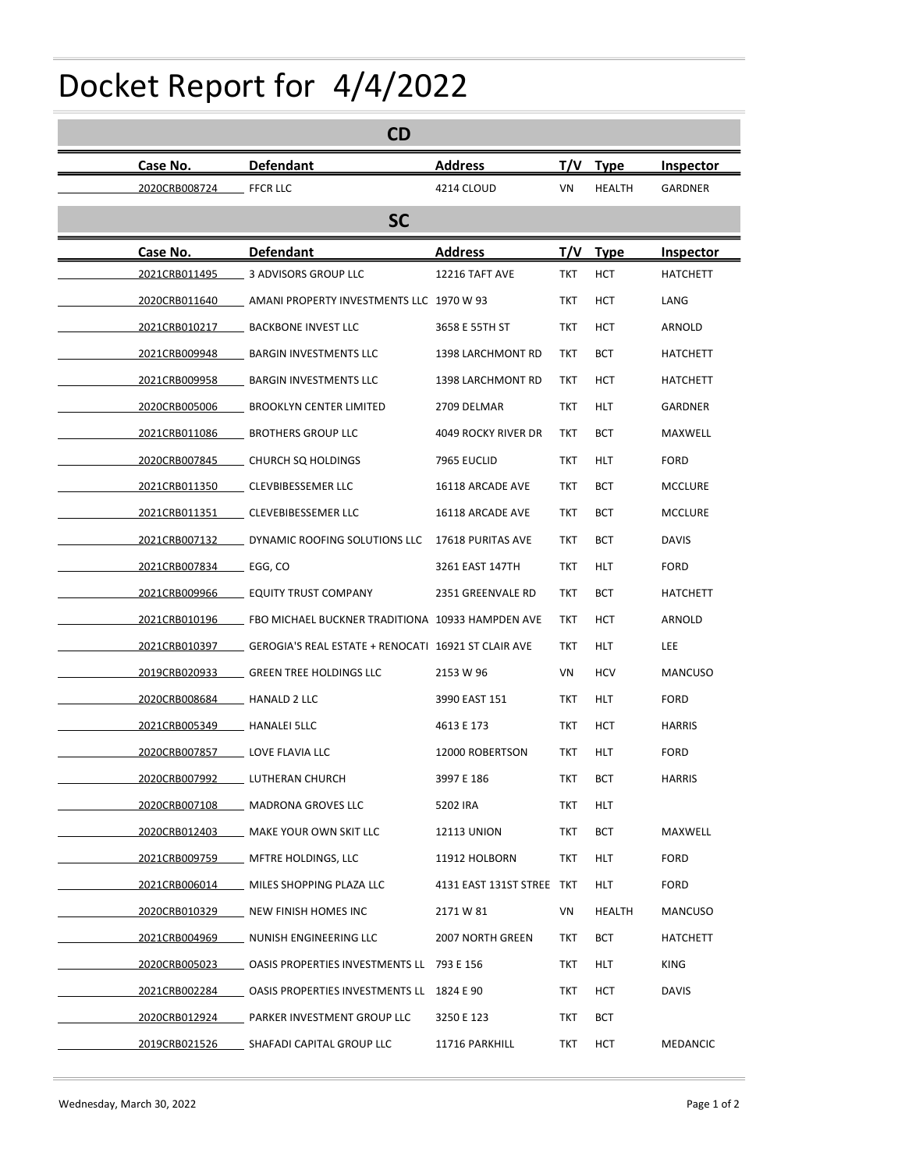## Docket Report for 4/4/2022

|                                | Docket Report for 4/4/2022                                      |                                  |            |                       |                            |
|--------------------------------|-----------------------------------------------------------------|----------------------------------|------------|-----------------------|----------------------------|
|                                | CD                                                              |                                  |            |                       |                            |
| Case No.<br>2020CRB008724      | <b>Defendant</b><br><b>FFCR LLC</b>                             | <b>Address</b><br>4214 CLOUD     | T/V<br>VN  | <b>Type</b><br>HEALTH | Inspector<br>GARDNER       |
|                                | <b>SC</b>                                                       |                                  |            |                       |                            |
| Case No.                       | <b>Defendant</b>                                                | <b>Address</b>                   |            | T/V Type              | Inspector                  |
| 2021CRB011495                  | 3 ADVISORS GROUP LLC                                            | 12216 TAFT AVE                   | <b>TKT</b> | <b>HCT</b>            | <b>HATCHETT</b>            |
| 2020CRB011640                  | AMANI PROPERTY INVESTMENTS LLC 1970 W 93                        |                                  | <b>TKT</b> | <b>HCT</b>            | LANG                       |
| 2021CRB010217                  | <b>BACKBONE INVEST LLC</b>                                      | 3658 E 55TH ST                   | TKT        | <b>HCT</b>            | ARNOLD                     |
| 2021CRB009948                  | <b>BARGIN INVESTMENTS LLC</b>                                   | 1398 LARCHMONT RD                | TKT        | <b>BCT</b>            | <b>HATCHETT</b>            |
| 2021CRB009958<br>2020CRB005006 | <b>BARGIN INVESTMENTS LLC</b><br><b>BROOKLYN CENTER LIMITED</b> | 1398 LARCHMONT RD<br>2709 DELMAR | TKT<br>TKT | HCT<br>HLT            | <b>HATCHETT</b><br>GARDNER |
| 2021CRB011086                  | <b>BROTHERS GROUP LLC</b>                                       | 4049 ROCKY RIVER DR              | TKT        | <b>BCT</b>            | MAXWELL                    |
| 2020CRB007845                  | CHURCH SQ HOLDINGS                                              | 7965 EUCLID                      | TKT        | HLT                   | FORD                       |
| 2021CRB011350                  | CLEVBIBESSEMER LLC                                              | 16118 ARCADE AVE                 | <b>TKT</b> | <b>BCT</b>            | <b>MCCLURE</b>             |
| 2021CRB011351                  | CLEVEBIBESSEMER LLC                                             | 16118 ARCADE AVE                 | <b>TKT</b> | <b>BCT</b>            | <b>MCCLURE</b>             |
| 2021CRB007132                  | DYNAMIC ROOFING SOLUTIONS LLC 17618 PURITAS AVE                 |                                  | <b>TKT</b> | <b>BCT</b>            | <b>DAVIS</b>               |
| 2021CRB007834                  | EGG, CO                                                         | 3261 EAST 147TH                  | <b>TKT</b> | HLT                   | <b>FORD</b>                |
| 2021CRB009966                  | <b>EQUITY TRUST COMPANY</b>                                     | 2351 GREENVALE RD                | <b>TKT</b> | <b>BCT</b>            | <b>HATCHETT</b>            |
| 2021CRB010196                  | FBO MICHAEL BUCKNER TRADITIONA 10933 HAMPDEN AVE                |                                  | TKT        | <b>HCT</b>            | ARNOLD                     |
| 2021CRB010397                  | GEROGIA'S REAL ESTATE + RENOCATI 16921 ST CLAIR AVE             |                                  | <b>TKT</b> | HLT                   | <b>LEE</b>                 |
| 2019CRB020933                  | <b>GREEN TREE HOLDINGS LLC</b>                                  | 2153 W 96                        | VN         | HCV                   | MANCUSO                    |
| 2020CRB008684                  | <b>HANALD 2 LLC</b>                                             | 3990 EAST 151                    | TKT        | HLT                   | <b>FORD</b>                |
| 2021CRB005349                  | <b>HANALEI 5LLC</b>                                             | 4613 E 173                       | TKT        | HCT                   | HARRIS                     |
| 2020CRB007857                  | LOVE FLAVIA LLC                                                 | 12000 ROBERTSON                  | TKT        | HLT                   | <b>FORD</b>                |
| 2020CRB007992                  | LUTHERAN CHURCH                                                 | 3997 E 186                       | <b>TKT</b> | <b>BCT</b>            | <b>HARRIS</b>              |
| 2020CRB007108                  | MADRONA GROVES LLC                                              | 5202 IRA                         | TKT        | HLT                   |                            |
| 2020CRB012403                  | MAKE YOUR OWN SKIT LLC                                          | 12113 UNION                      | TKT        | <b>BCT</b>            | MAXWELL                    |
| 2021CRB009759                  | MFTRE HOLDINGS, LLC                                             | 11912 HOLBORN                    | TKT        | HLT                   | <b>FORD</b>                |
| 2021CRB006014                  | MILES SHOPPING PLAZA LLC                                        | 4131 EAST 131ST STREE TKT        |            | HLT                   | <b>FORD</b>                |
| 2020CRB010329                  | NEW FINISH HOMES INC                                            | 2171 W 81                        | VN         | HEALTH                | MANCUSO                    |
| 2021CRB004969                  | NUNISH ENGINEERING LLC                                          | 2007 NORTH GREEN                 | TKT        | <b>BCT</b>            | <b>HATCHETT</b>            |
| 2020CRB005023                  | OASIS PROPERTIES INVESTMENTS LL 793 E 156                       |                                  | TKT        | <b>HLT</b>            | KING                       |
| 2021CRB002284                  | OASIS PROPERTIES INVESTMENTS LL 1824 E 90                       |                                  | TKT        | HCT                   | <b>DAVIS</b>               |
| 2020CRB012924                  | PARKER INVESTMENT GROUP LLC                                     | 3250 E 123                       | TKT        | <b>BCT</b>            |                            |
| 2019CRB021526                  | SHAFADI CAPITAL GROUP LLC                                       | 11716 PARKHILL                   | TKT        | HCT                   | MEDANCIC                   |
|                                |                                                                 |                                  |            |                       |                            |